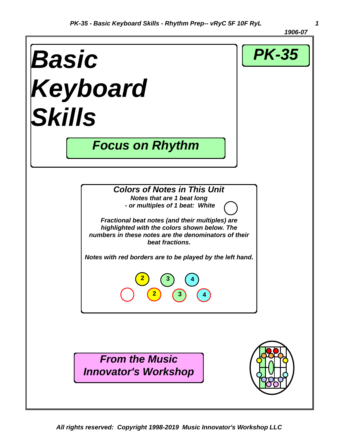*1906-07* 

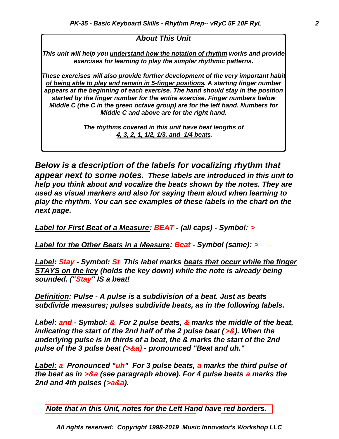#### *About This Unit*

*This unit will help you understand how the notation of rhythm works and provide exercises for learning to play the simpler rhythmic patterns.*

*These exercises will also provide further development of the very important habit of being able to play and remain in 5-finger positions. A starting finger number appears at the beginning of each exercise. The hand should stay in the position started by the finger number for the entire exercise. Finger numbers below Middle C (the C in the green octave group) are for the left hand. Numbers for Middle C and above are for the right hand.*

> *The rhythms covered in this unit have beat lengths of 4, 3, 2, 1, 1/2, 1/3, and 1/4 beats.*

*Below is a description of the labels for vocalizing rhythm that appear next to some notes. These labels are introduced in this unit to help you think about and vocalize the beats shown by the notes. They are used as visual markers and also for saying them aloud when learning to play the rhythm. You can see examples of these labels in the chart on the next page.*

*Label for First Beat of a Measure: BEAT - (all caps) - Symbol: >*

*Label for the Other Beats in a Measure: Beat - Symbol (same): >*

*Label: Stay - Symbol: St This label marks beats that occur while the finger STAYS on the key (holds the key down) while the note is already being sounded. ("Stay" IS a beat!*

*Definition: Pulse - A pulse is a subdivision of a beat. Just as beats subdivide measures; pulses subdivide beats, as in the following labels.*

*Label: and - Symbol: & For 2 pulse beats, & marks the middle of the beat, indicating the start of the 2nd half of the 2 pulse beat (>&). When the underlying pulse is in thirds of a beat, the & marks the start of the 2nd pulse of the 3 pulse beat (>&a) - pronounced "Beat and uh."*

*Label: a Pronounced "uh" For 3 pulse beats, a marks the third pulse of the beat as in >&a (see paragraph above). For 4 pulse beats a marks the 2nd and 4th pulses (>a&a).*

*Note that in this Unit, notes for the Left Hand have red borders.*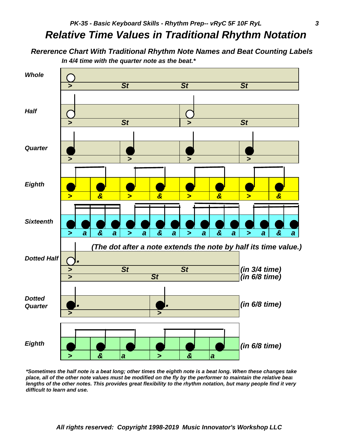### *Relative Time Values in Traditional Rhythm Notation*

 *Rererence Chart With Traditional Rhythm Note Names and Beat Counting Labels In 4/4 time with the quarter note as the beat.\**



*\*Sometimes the half note is a beat long; other times the eighth note is a beat long. When these changes take* place, all of the other note values must be modified on the fly by the performer to maintain the relative beat *lengths of the other notes. This provides great flexibility to the rhythm notation, but many people find it very difficult to learn and use.*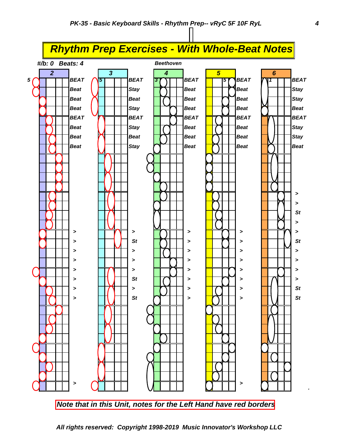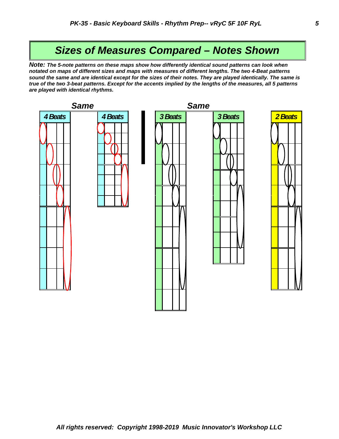#### *Sizes of Measures Compared – Notes Shown*

*Note: The 5-note patterns on these maps show how differently identical sound patterns can look when notated on maps of different sizes and maps with measures of different lengths. The two 4-Beat patterns sound the same and are identical except for the sizes of their notes. They are played identically. The same is true of the two 3-beat patterns. Except for the accents implied by the lengths of the measures, all 5 patterns are played with identical rhythms.*

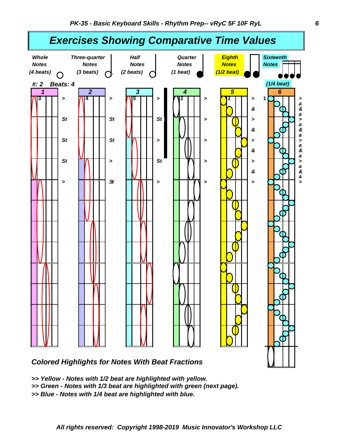

*Colored Highlights for Notes With Beat Fractions*

*<sup>&</sup>gt;> Yellow - Notes with 1/2 beat are highlighted with yellow.*

*<sup>&</sup>gt;> Green - Notes with 1/3 beat are highlighted with green (next page).*

*<sup>&</sup>gt;> Blue - Notes with 1/4 beat are highlighted with blue.*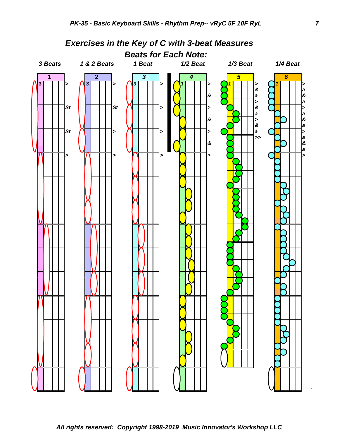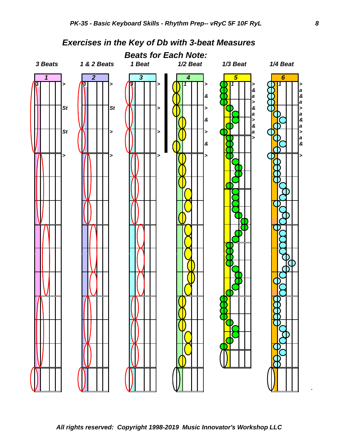

*Exercises in the Key of Db with 3-beat Measures* 

**.**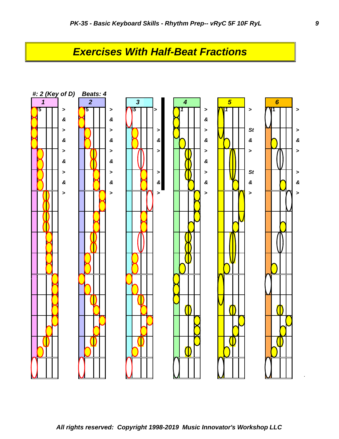## *Exercises With Half-Beat Fractions*

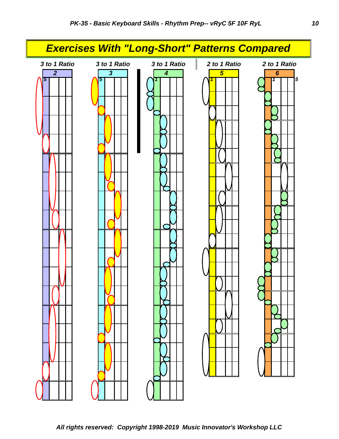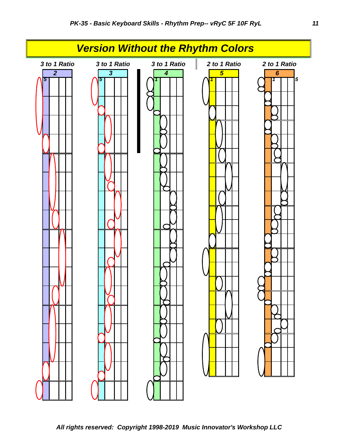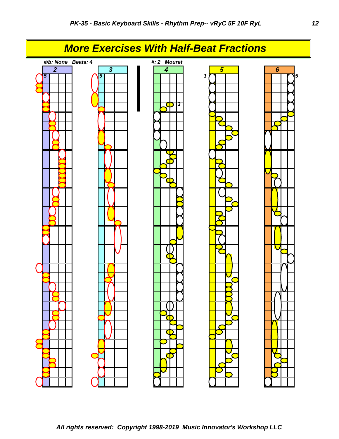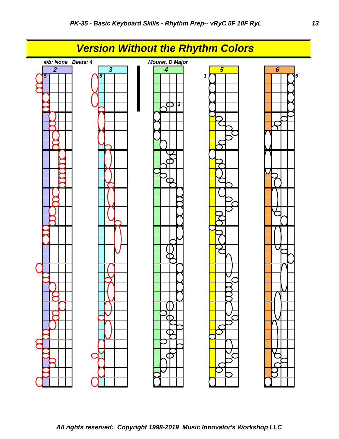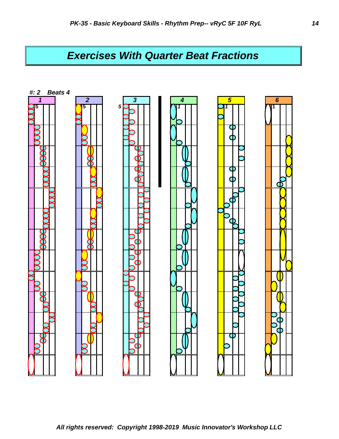# *Exercises With Quarter Beat Fractions*

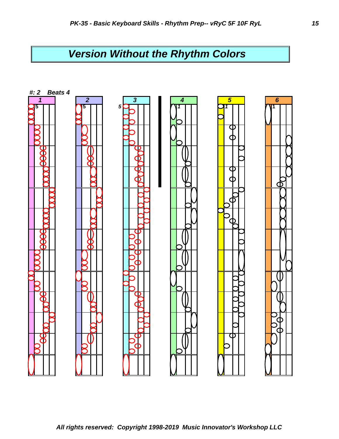# *Version Without the Rhythm Colors*

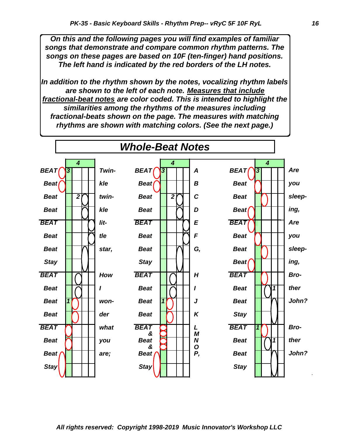*On this and the following pages you will find examples of familiar songs that demonstrate and compare common rhythm patterns. The songs on these pages are based on 10F (ten-finger) hand positions. The left hand is indicated by the red borders of the LH notes.*

*In addition to the rhythm shown by the notes, vocalizing rhythm labels are shown to the left of each note. Measures that include fractional-beat notes are color coded. This is intended to highlight the similarities among the rhythms of the measures including fractional-beats shown on the page. The measures with matching rhythms are shown with matching colors. (See the next page.)*

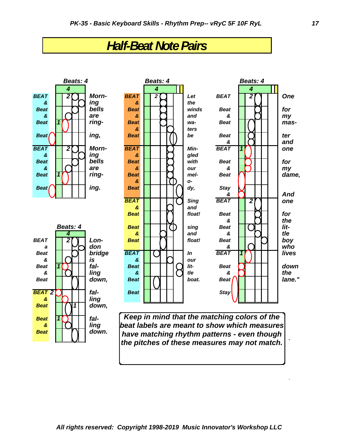# *Half-Beat Note Pairs*



.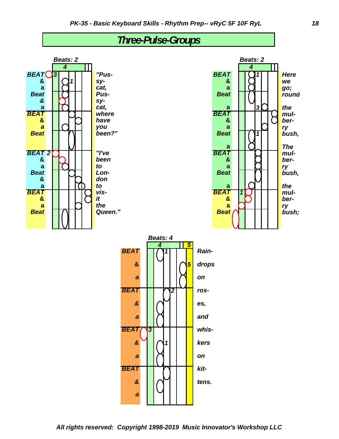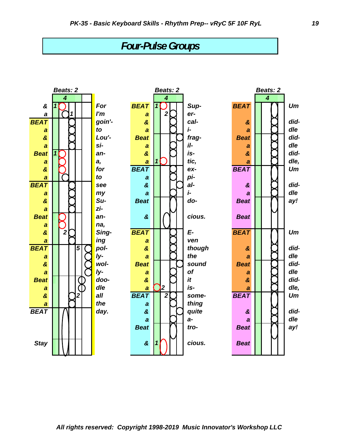## *Four-Pulse Groups*

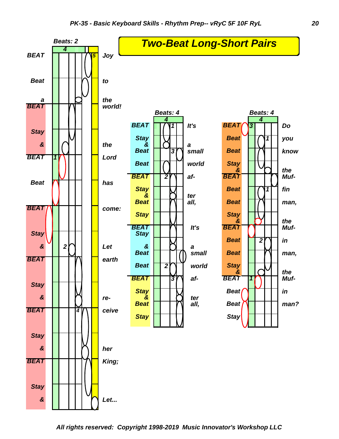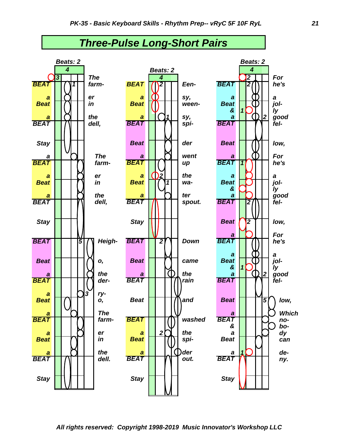

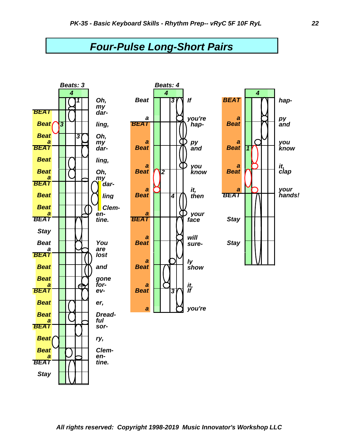### *Four-Pulse Long-Short Pairs*

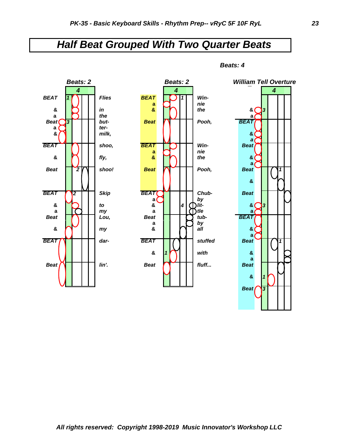## *Half Beat Grouped With Two Quarter Beats*



*Beats: 4*